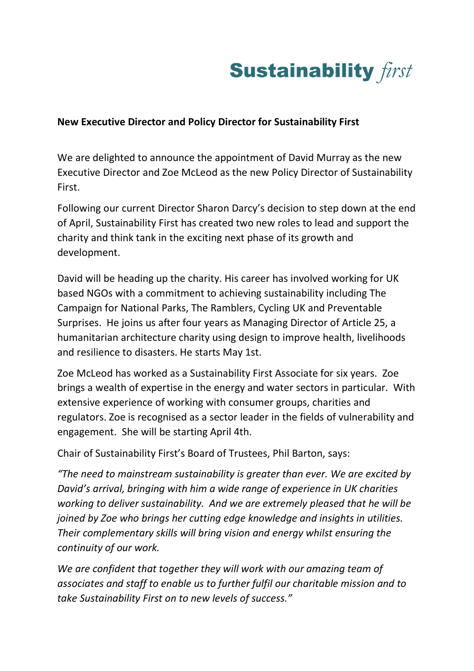## **Sustainability first**

## **New Executive Director and Policy Director for Sustainability First**

We are delighted to announce the appointment of David Murray as the new Executive Director and Zoe McLeod as the new Policy Director of Sustainability First.

Following our current Director Sharon Darcy's decision to step down at the end of April, Sustainability First has created two new roles to lead and support the charity and think tank in the exciting next phase of its growth and development.

David will be heading up the charity. His career has involved working for UK based NGOs with a commitment to achieving sustainability including The Campaign for National Parks, The Ramblers, Cycling UK and Preventable Surprises. He joins us after four years as Managing Director of Article 25, a humanitarian architecture charity using design to improve health, livelihoods and resilience to disasters. He starts May 1st.

Zoe McLeod has worked as a Sustainability First Associate for six years. Zoe brings a wealth of expertise in the energy and water sectors in particular. With extensive experience of working with consumer groups, charities and regulators. Zoe is recognised as a sector leader in the fields of vulnerability and engagement. She will be starting April 4th.

Chair of Sustainability First's Board of Trustees, Phil Barton, says:

*"The need to mainstream sustainability is greater than ever. We are excited by David's arrival, bringing with him a wide range of experience in UK charities working to deliver sustainability. And we are extremely pleased that he will be joined by Zoe who brings her cutting edge knowledge and insights in utilities. Their complementary skills will bring vision and energy whilst ensuring the continuity of our work.*

*We are confident that together they will work with our amazing team of associates and staff to enable us to further fulfil our charitable mission and to take Sustainability First on to new levels of success."*